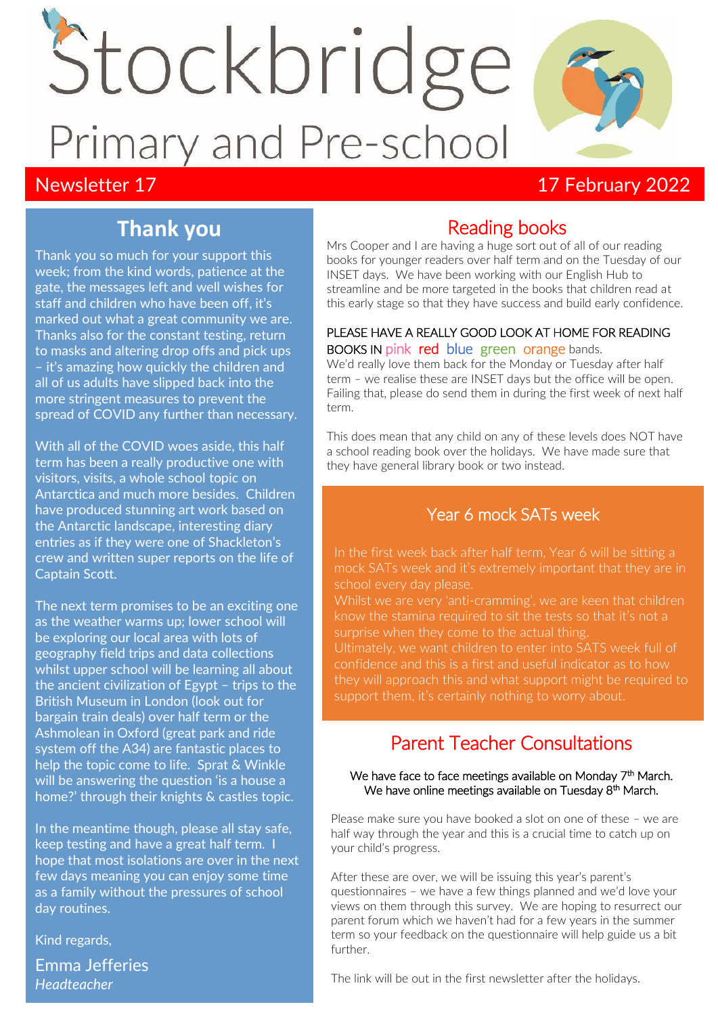# Stockbridge Primary and Pre-school

## Newsletter 17 **Newsletter 17** 17 February 2022

# **Thank you**

Thank you so much for your support this week; from the kind words, patience at the gate, the messages left and well wishes for staff and children who have been off, it's marked out what a great community we are. Thanks also for the constant testing, return to masks and altering drop offs and pick ups – it's amazing how quickly the children and all of us adults have slipped back into the more stringent measures to prevent the spread of COVID any further than necessary.

With all of the COVID woes aside, this half term has been a really productive one with visitors, visits, a whole school topic on Antarctica and much more besides. Children have produced stunning art work based on the Antarctic landscape, interesting diary entries as if they were one of Shackleton's crew and written super reports on the life of Captain Scott.

The next term promises to be an exciting one as the weather warms up; lower school will be exploring our local area with lots of geography field trips and data collections whilst upper school will be learning all about the ancient civilization of Egypt – trips to the British Museum in London (look out for bargain train deals) over half term or the Ashmolean in Oxford (great park and ride system off the A34) are fantastic places to help the topic come to life. Sprat & Winkle will be answering the question 'is a house a home?' through their knights & castles topic.

In the meantime though, please all stay safe, keep testing and have a great half term. I hope that most isolations are over in the next few days meaning you can enjoy some time as a family without the pressures of school day routines.

Kind regards,

Emma Jefferies *Headteacher*

# Reading books

Mrs Cooper and I are having a huge sort out of all of our reading books for younger readers over half term and on the Tuesday of our INSET days. We have been working with our English Hub to streamline and be more targeted in the books that children read at this early stage so that they have success and build early confidence.

#### PLEASE HAVE A REALLY GOOD LOOK AT HOME FOR READING BOOKS IN pink red blue green orange bands.

We'd really love them back for the Monday or Tuesday after half term – we realise these are INSET days but the office will be open. Failing that, please do send them in during the first week of next half term.

This does mean that any child on any of these levels does NOT have a school reading book over the holidays. We have made sure that they have general library book or two instead.

## Year 6 mock SATs week

mock SATs week and it's extremely important that they are in school every day please.

know the stamina required to sit the tests so that it's not a

confidence and this is a first and useful indicator as to how they will approach this and what support might be required to support them, it's certainly nothing to worry about.

## Parent Teacher Consultations

#### We have face to face meetings available on Monday 7<sup>th</sup> March. We have online meetings available on Tuesday 8<sup>th</sup> March.

Please make sure you have booked a slot on one of these – we are half way through the year and this is a crucial time to catch up on your child's progress.

After these are over, we will be issuing this year's parent's questionnaires – we have a few things planned and we'd love your views on them through this survey. We are hoping to resurrect our parent forum which we haven't had for a few years in the summer term so your feedback on the questionnaire will help guide us a bit further.

The link will be out in the first newsletter after the holidays.